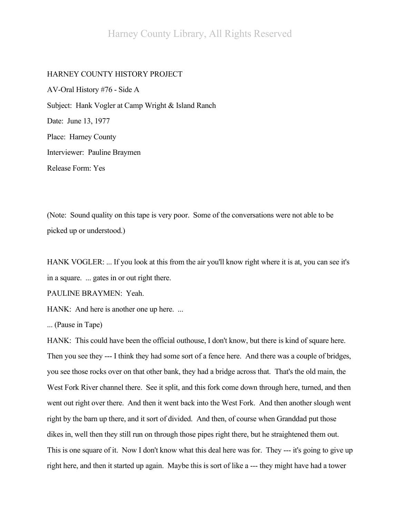### HARNEY COUNTY HISTORY PROJECT

AV-Oral History #76 - Side A Subject: Hank Vogler at Camp Wright & Island Ranch Date: June 13, 1977 Place: Harney County Interviewer: Pauline Braymen Release Form: Yes

(Note: Sound quality on this tape is very poor. Some of the conversations were not able to be picked up or understood.)

HANK VOGLER: ... If you look at this from the air you'll know right where it is at, you can see it's in a square. ... gates in or out right there.

PAULINE BRAYMEN: Yeah.

HANK: And here is another one up here. ...

... (Pause in Tape)

HANK: This could have been the official outhouse, I don't know, but there is kind of square here. Then you see they --- I think they had some sort of a fence here. And there was a couple of bridges, you see those rocks over on that other bank, they had a bridge across that. That's the old main, the West Fork River channel there. See it split, and this fork come down through here, turned, and then went out right over there. And then it went back into the West Fork. And then another slough went right by the barn up there, and it sort of divided. And then, of course when Granddad put those dikes in, well then they still run on through those pipes right there, but he straightened them out. This is one square of it. Now I don't know what this deal here was for. They --- it's going to give up right here, and then it started up again. Maybe this is sort of like a --- they might have had a tower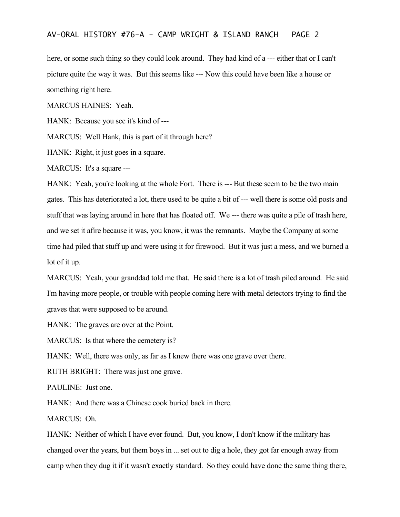here, or some such thing so they could look around. They had kind of a --- either that or I can't picture quite the way it was. But this seems like --- Now this could have been like a house or something right here.

MARCUS HAINES: Yeah.

HANK: Because you see it's kind of ---

MARCUS: Well Hank, this is part of it through here?

HANK: Right, it just goes in a square.

MARCUS: It's a square ---

HANK: Yeah, you're looking at the whole Fort. There is --- But these seem to be the two main gates. This has deteriorated a lot, there used to be quite a bit of --- well there is some old posts and stuff that was laying around in here that has floated off. We --- there was quite a pile of trash here, and we set it afire because it was, you know, it was the remnants. Maybe the Company at some time had piled that stuff up and were using it for firewood. But it was just a mess, and we burned a lot of it up.

MARCUS: Yeah, your granddad told me that. He said there is a lot of trash piled around. He said I'm having more people, or trouble with people coming here with metal detectors trying to find the graves that were supposed to be around.

HANK: The graves are over at the Point.

MARCUS: Is that where the cemetery is?

HANK: Well, there was only, as far as I knew there was one grave over there.

RUTH BRIGHT: There was just one grave.

PAULINE: Just one.

HANK: And there was a Chinese cook buried back in there.

MARCUS: Oh.

HANK: Neither of which I have ever found. But, you know, I don't know if the military has changed over the years, but them boys in ... set out to dig a hole, they got far enough away from camp when they dug it if it wasn't exactly standard. So they could have done the same thing there,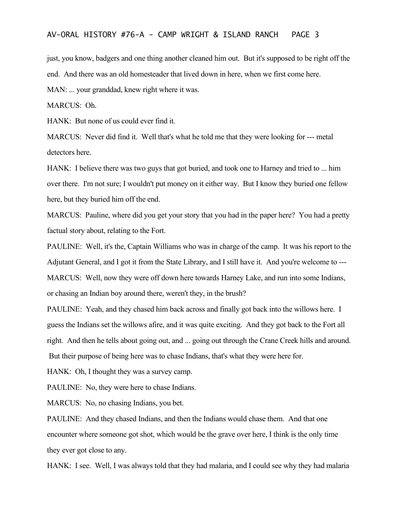just, you know, badgers and one thing another cleaned him out. But it's supposed to be right off the end. And there was an old homesteader that lived down in here, when we first come here.

MAN: ... your granddad, knew right where it was.

MARCUS: Oh.

HANK: But none of us could ever find it.

MARCUS: Never did find it. Well that's what he told me that they were looking for --- metal detectors here.

HANK: I believe there was two guys that got buried, and took one to Harney and tried to ... him over there. I'm not sure; I wouldn't put money on it either way. But I know they buried one fellow here, but they buried him off the end.

MARCUS: Pauline, where did you get your story that you had in the paper here? You had a pretty factual story about, relating to the Fort.

PAULINE: Well, it's the, Captain Williams who was in charge of the camp. It was his report to the Adjutant General, and I got it from the State Library, and I still have it. And you're welcome to --- MARCUS: Well, now they were off down here towards Harney Lake, and run into some Indians, or chasing an Indian boy around there, weren't they, in the brush?

PAULINE: Yeah, and they chased him back across and finally got back into the willows here. I guess the Indians set the willows afire, and it was quite exciting. And they got back to the Fort all right. And then he tells about going out, and ... going out through the Crane Creek hills and around. But their purpose of being here was to chase Indians, that's what they were here for.

HANK: Oh, I thought they was a survey camp.

PAULINE: No, they were here to chase Indians.

MARCUS: No, no chasing Indians, you bet.

PAULINE: And they chased Indians, and then the Indians would chase them. And that one encounter where someone got shot, which would be the grave over here, I think is the only time they ever got close to any.

HANK: I see. Well, I was always told that they had malaria, and I could see why they had malaria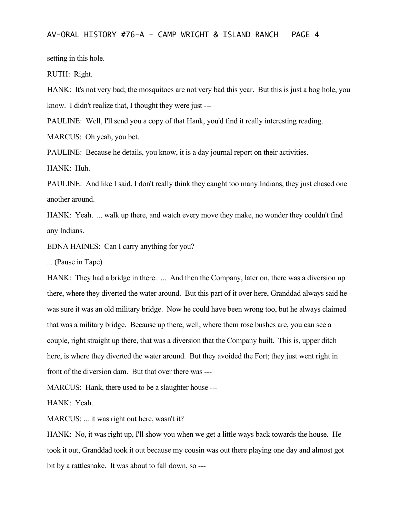setting in this hole.

RUTH: Right.

HANK: It's not very bad; the mosquitoes are not very bad this year. But this is just a bog hole, you know. I didn't realize that, I thought they were just ---

PAULINE: Well, I'll send you a copy of that Hank, you'd find it really interesting reading.

MARCUS: Oh yeah, you bet.

PAULINE: Because he details, you know, it is a day journal report on their activities.

HANK: Huh.

PAULINE: And like I said, I don't really think they caught too many Indians, they just chased one another around.

HANK: Yeah. ... walk up there, and watch every move they make, no wonder they couldn't find any Indians.

EDNA HAINES: Can I carry anything for you?

... (Pause in Tape)

HANK: They had a bridge in there. ... And then the Company, later on, there was a diversion up there, where they diverted the water around. But this part of it over here, Granddad always said he was sure it was an old military bridge. Now he could have been wrong too, but he always claimed that was a military bridge. Because up there, well, where them rose bushes are, you can see a couple, right straight up there, that was a diversion that the Company built. This is, upper ditch here, is where they diverted the water around. But they avoided the Fort; they just went right in front of the diversion dam. But that over there was ---

MARCUS: Hank, there used to be a slaughter house ---

HANK: Yeah.

MARCUS: ... it was right out here, wasn't it?

HANK: No, it was right up, I'll show you when we get a little ways back towards the house. He took it out, Granddad took it out because my cousin was out there playing one day and almost got bit by a rattlesnake. It was about to fall down, so ---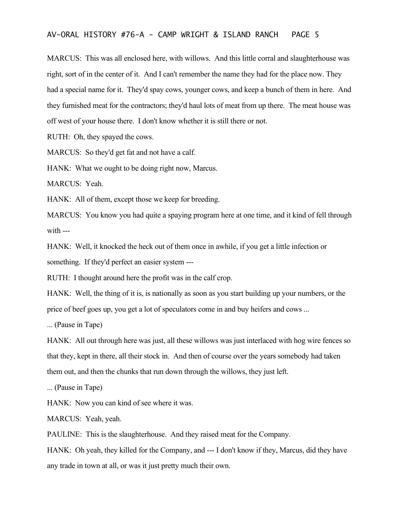MARCUS: This was all enclosed here, with willows. And this little corral and slaughterhouse was right, sort of in the center of it. And I can't remember the name they had for the place now. They had a special name for it. They'd spay cows, younger cows, and keep a bunch of them in here. And they furnished meat for the contractors; they'd haul lots of meat from up there. The meat house was off west of your house there. I don't know whether it is still there or not.

RUTH: Oh, they spayed the cows.

MARCUS: So they'd get fat and not have a calf.

HANK: What we ought to be doing right now, Marcus.

MARCUS: Yeah.

HANK: All of them, except those we keep for breeding.

MARCUS: You know you had quite a spaying program here at one time, and it kind of fell through with ---

HANK: Well, it knocked the heck out of them once in awhile, if you get a little infection or something. If they'd perfect an easier system ---

RUTH: I thought around here the profit was in the calf crop.

HANK: Well, the thing of it is, is nationally as soon as you start building up your numbers, or the price of beef goes up, you get a lot of speculators come in and buy heifers and cows ...

... (Pause in Tape)

HANK: All out through here was just, all these willows was just interlaced with hog wire fences so that they, kept in there, all their stock in. And then of course over the years somebody had taken them out, and then the chunks that run down through the willows, they just left.

... (Pause in Tape)

HANK: Now you can kind of see where it was.

MARCUS: Yeah, yeah.

PAULINE: This is the slaughterhouse. And they raised meat for the Company.

HANK: Oh yeah, they killed for the Company, and --- I don't know if they, Marcus, did they have any trade in town at all, or was it just pretty much their own.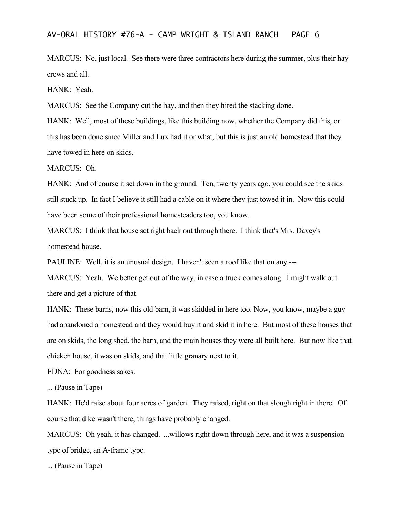MARCUS: No, just local. See there were three contractors here during the summer, plus their hay crews and all.

HANK: Yeah.

MARCUS: See the Company cut the hay, and then they hired the stacking done.

HANK: Well, most of these buildings, like this building now, whether the Company did this, or this has been done since Miller and Lux had it or what, but this is just an old homestead that they have towed in here on skids.

MARCUS: Oh.

HANK: And of course it set down in the ground. Ten, twenty years ago, you could see the skids still stuck up. In fact I believe it still had a cable on it where they just towed it in. Now this could have been some of their professional homesteaders too, you know.

MARCUS: I think that house set right back out through there. I think that's Mrs. Davey's homestead house.

PAULINE: Well, it is an unusual design. I haven't seen a roof like that on any ---

MARCUS: Yeah. We better get out of the way, in case a truck comes along. I might walk out there and get a picture of that.

HANK: These barns, now this old barn, it was skidded in here too. Now, you know, maybe a guy had abandoned a homestead and they would buy it and skid it in here. But most of these houses that are on skids, the long shed, the barn, and the main houses they were all built here. But now like that chicken house, it was on skids, and that little granary next to it.

EDNA: For goodness sakes.

... (Pause in Tape)

HANK: He'd raise about four acres of garden. They raised, right on that slough right in there. Of course that dike wasn't there; things have probably changed.

MARCUS: Oh yeah, it has changed. ...willows right down through here, and it was a suspension type of bridge, an A-frame type.

... (Pause in Tape)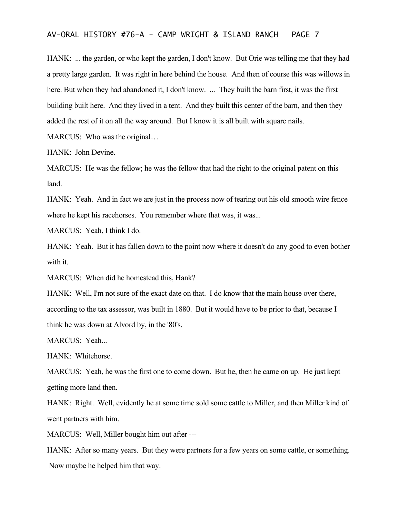HANK: ... the garden, or who kept the garden, I don't know. But Orie was telling me that they had a pretty large garden. It was right in here behind the house. And then of course this was willows in here. But when they had abandoned it, I don't know. ... They built the barn first, it was the first building built here. And they lived in a tent. And they built this center of the barn, and then they added the rest of it on all the way around. But I know it is all built with square nails. MARCUS: Who was the original...

HANK: John Devine.

MARCUS: He was the fellow; he was the fellow that had the right to the original patent on this land.

HANK: Yeah. And in fact we are just in the process now of tearing out his old smooth wire fence where he kept his racehorses. You remember where that was, it was...

MARCUS: Yeah, I think I do.

HANK: Yeah. But it has fallen down to the point now where it doesn't do any good to even bother with it.

MARCUS: When did he homestead this, Hank?

HANK: Well, I'm not sure of the exact date on that. I do know that the main house over there, according to the tax assessor, was built in 1880. But it would have to be prior to that, because I think he was down at Alvord by, in the '80's.

MARCUS: Yeah...

HANK: Whitehorse.

MARCUS: Yeah, he was the first one to come down. But he, then he came on up. He just kept getting more land then.

HANK: Right. Well, evidently he at some time sold some cattle to Miller, and then Miller kind of went partners with him.

MARCUS: Well, Miller bought him out after ---

HANK: After so many years. But they were partners for a few years on some cattle, or something. Now maybe he helped him that way.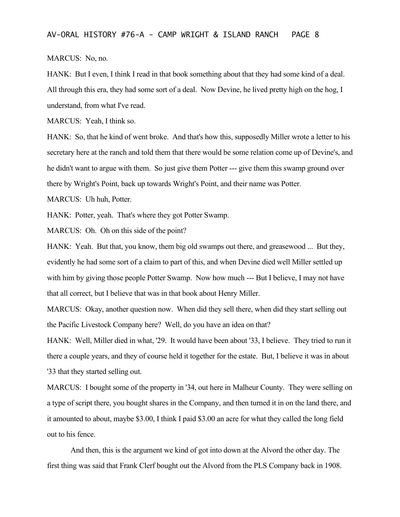#### MARCUS: No, no.

HANK: But I even, I think I read in that book something about that they had some kind of a deal. All through this era, they had some sort of a deal. Now Devine, he lived pretty high on the hog, I understand, from what I've read.

MARCUS: Yeah, I think so.

HANK: So, that he kind of went broke. And that's how this, supposedly Miller wrote a letter to his secretary here at the ranch and told them that there would be some relation come up of Devine's, and he didn't want to argue with them. So just give them Potter --- give them this swamp ground over there by Wright's Point, back up towards Wright's Point, and their name was Potter.

MARCUS: Uh huh, Potter.

HANK: Potter, yeah. That's where they got Potter Swamp.

MARCUS: Oh. Oh on this side of the point?

HANK: Yeah. But that, you know, them big old swamps out there, and greasewood ... But they, evidently he had some sort of a claim to part of this, and when Devine died well Miller settled up with him by giving those people Potter Swamp. Now how much --- But I believe, I may not have that all correct, but I believe that was in that book about Henry Miller.

MARCUS: Okay, another question now. When did they sell there, when did they start selling out the Pacific Livestock Company here? Well, do you have an idea on that?

HANK: Well, Miller died in what, '29. It would have been about '33, I believe. They tried to run it there a couple years, and they of course held it together for the estate. But, I believe it was in about '33 that they started selling out.

MARCUS: I bought some of the property in '34, out here in Malheur County. They were selling on a type of script there, you bought shares in the Company, and then turned it in on the land there, and it amounted to about, maybe \$3.00, I think I paid \$3.00 an acre for what they called the long field out to his fence.

And then, this is the argument we kind of got into down at the Alvord the other day. The first thing was said that Frank Clerf bought out the Alvord from the PLS Company back in 1908.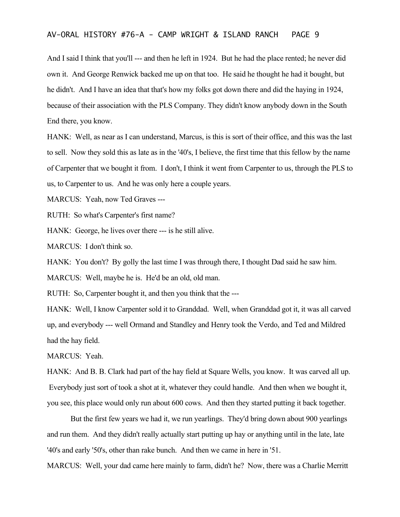And I said I think that you'll --- and then he left in 1924. But he had the place rented; he never did own it. And George Renwick backed me up on that too. He said he thought he had it bought, but he didn't. And I have an idea that that's how my folks got down there and did the haying in 1924, because of their association with the PLS Company. They didn't know anybody down in the South End there, you know.

HANK: Well, as near as I can understand, Marcus, is this is sort of their office, and this was the last to sell. Now they sold this as late as in the '40's, I believe, the first time that this fellow by the name of Carpenter that we bought it from. I don't, I think it went from Carpenter to us, through the PLS to us, to Carpenter to us. And he was only here a couple years.

MARCUS: Yeah, now Ted Graves ---

RUTH: So what's Carpenter's first name?

HANK: George, he lives over there --- is he still alive.

MARCUS: I don't think so.

HANK: You don't? By golly the last time I was through there, I thought Dad said he saw him.

MARCUS: Well, maybe he is. He'd be an old, old man.

RUTH: So, Carpenter bought it, and then you think that the ---

HANK: Well, I know Carpenter sold it to Granddad. Well, when Granddad got it, it was all carved up, and everybody --- well Ormand and Standley and Henry took the Verdo, and Ted and Mildred had the hay field.

MARCUS: Yeah.

HANK: And B. B. Clark had part of the hay field at Square Wells, you know. It was carved all up. Everybody just sort of took a shot at it, whatever they could handle. And then when we bought it, you see, this place would only run about 600 cows. And then they started putting it back together.

But the first few years we had it, we run yearlings. They'd bring down about 900 yearlings and run them. And they didn't really actually start putting up hay or anything until in the late, late '40's and early '50's, other than rake bunch. And then we came in here in '51.

MARCUS: Well, your dad came here mainly to farm, didn't he? Now, there was a Charlie Merritt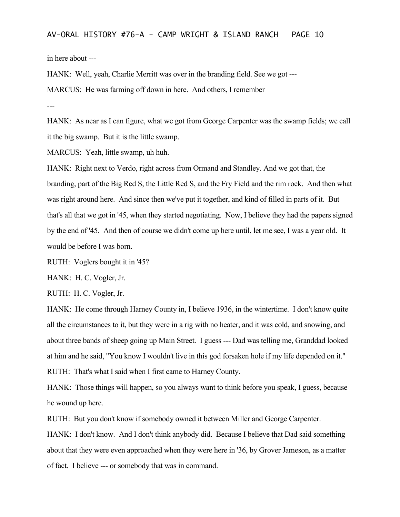in here about ---

HANK: Well, yeah, Charlie Merritt was over in the branding field. See we got ---

MARCUS: He was farming off down in here. And others, I remember

---

HANK: As near as I can figure, what we got from George Carpenter was the swamp fields; we call it the big swamp. But it is the little swamp.

MARCUS: Yeah, little swamp, uh huh.

HANK: Right next to Verdo, right across from Ormand and Standley. And we got that, the branding, part of the Big Red S, the Little Red S, and the Fry Field and the rim rock. And then what was right around here. And since then we've put it together, and kind of filled in parts of it. But that's all that we got in '45, when they started negotiating. Now, I believe they had the papers signed by the end of '45. And then of course we didn't come up here until, let me see, I was a year old. It would be before I was born.

RUTH: Voglers bought it in '45?

HANK: H. C. Vogler, Jr.

RUTH: H. C. Vogler, Jr.

HANK: He come through Harney County in, I believe 1936, in the wintertime. I don't know quite all the circumstances to it, but they were in a rig with no heater, and it was cold, and snowing, and about three bands of sheep going up Main Street. I guess --- Dad was telling me, Granddad looked at him and he said, "You know I wouldn't live in this god forsaken hole if my life depended on it." RUTH: That's what I said when I first came to Harney County.

HANK: Those things will happen, so you always want to think before you speak, I guess, because he wound up here.

RUTH: But you don't know if somebody owned it between Miller and George Carpenter.

HANK: I don't know. And I don't think anybody did. Because I believe that Dad said something about that they were even approached when they were here in '36, by Grover Jameson, as a matter of fact. I believe --- or somebody that was in command.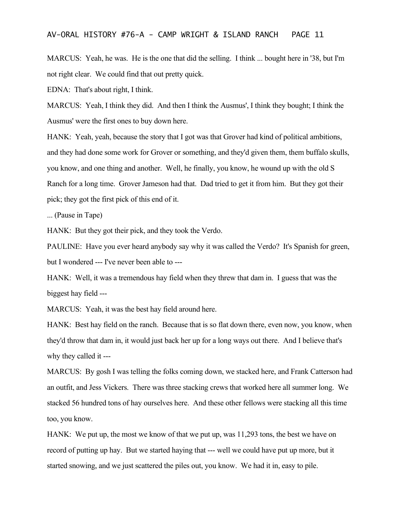MARCUS: Yeah, he was. He is the one that did the selling. I think ... bought here in '38, but I'm not right clear. We could find that out pretty quick.

EDNA: That's about right, I think.

MARCUS: Yeah, I think they did. And then I think the Ausmus', I think they bought; I think the Ausmus' were the first ones to buy down here.

HANK: Yeah, yeah, because the story that I got was that Grover had kind of political ambitions, and they had done some work for Grover or something, and they'd given them, them buffalo skulls, you know, and one thing and another. Well, he finally, you know, he wound up with the old S Ranch for a long time. Grover Jameson had that. Dad tried to get it from him. But they got their pick; they got the first pick of this end of it.

... (Pause in Tape)

HANK: But they got their pick, and they took the Verdo.

PAULINE: Have you ever heard anybody say why it was called the Verdo? It's Spanish for green, but I wondered --- I've never been able to ---

HANK: Well, it was a tremendous hay field when they threw that dam in. I guess that was the biggest hay field ---

MARCUS: Yeah, it was the best hay field around here.

HANK: Best hay field on the ranch. Because that is so flat down there, even now, you know, when they'd throw that dam in, it would just back her up for a long ways out there. And I believe that's why they called it ---

MARCUS: By gosh I was telling the folks coming down, we stacked here, and Frank Catterson had an outfit, and Jess Vickers. There was three stacking crews that worked here all summer long. We stacked 56 hundred tons of hay ourselves here. And these other fellows were stacking all this time too, you know.

HANK: We put up, the most we know of that we put up, was 11,293 tons, the best we have on record of putting up hay. But we started haying that --- well we could have put up more, but it started snowing, and we just scattered the piles out, you know. We had it in, easy to pile.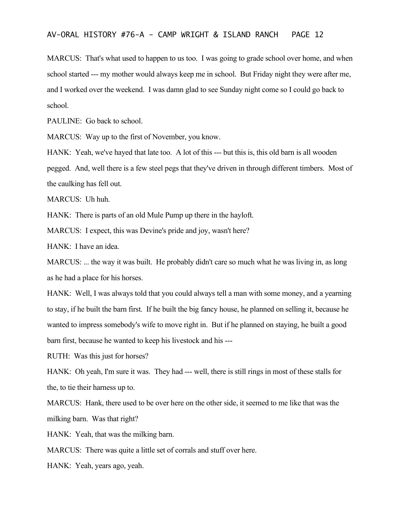MARCUS: That's what used to happen to us too. I was going to grade school over home, and when school started --- my mother would always keep me in school. But Friday night they were after me, and I worked over the weekend. I was damn glad to see Sunday night come so I could go back to school.

PAULINE: Go back to school.

MARCUS: Way up to the first of November, you know.

HANK: Yeah, we've hayed that late too. A lot of this --- but this is, this old barn is all wooden pegged. And, well there is a few steel pegs that they've driven in through different timbers. Most of the caulking has fell out.

MARCUS: Uh huh.

HANK: There is parts of an old Mule Pump up there in the hayloft.

MARCUS: I expect, this was Devine's pride and joy, wasn't here?

HANK: I have an idea.

MARCUS: ... the way it was built. He probably didn't care so much what he was living in, as long as he had a place for his horses.

HANK: Well, I was always told that you could always tell a man with some money, and a yearning to stay, if he built the barn first. If he built the big fancy house, he planned on selling it, because he wanted to impress somebody's wife to move right in. But if he planned on staying, he built a good barn first, because he wanted to keep his livestock and his ---

RUTH: Was this just for horses?

HANK: Oh yeah, I'm sure it was. They had --- well, there is still rings in most of these stalls for the, to tie their harness up to.

MARCUS: Hank, there used to be over here on the other side, it seemed to me like that was the milking barn. Was that right?

HANK: Yeah, that was the milking barn.

MARCUS: There was quite a little set of corrals and stuff over here.

HANK: Yeah, years ago, yeah.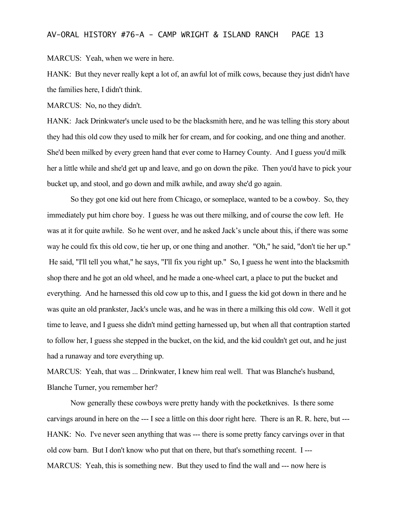MARCUS: Yeah, when we were in here.

HANK: But they never really kept a lot of, an awful lot of milk cows, because they just didn't have the families here, I didn't think.

MARCUS: No, no they didn't.

HANK: Jack Drinkwater's uncle used to be the blacksmith here, and he was telling this story about they had this old cow they used to milk her for cream, and for cooking, and one thing and another. She'd been milked by every green hand that ever come to Harney County. And I guess you'd milk her a little while and she'd get up and leave, and go on down the pike. Then you'd have to pick your bucket up, and stool, and go down and milk awhile, and away she'd go again.

So they got one kid out here from Chicago, or someplace, wanted to be a cowboy. So, they immediately put him chore boy. I guess he was out there milking, and of course the cow left. He was at it for quite awhile. So he went over, and he asked Jack's uncle about this, if there was some way he could fix this old cow, tie her up, or one thing and another. "Oh," he said, "don't tie her up." He said, "I'll tell you what," he says, "I'll fix you right up." So, I guess he went into the blacksmith shop there and he got an old wheel, and he made a one-wheel cart, a place to put the bucket and everything. And he harnessed this old cow up to this, and I guess the kid got down in there and he was quite an old prankster, Jack's uncle was, and he was in there a milking this old cow. Well it got time to leave, and I guess she didn't mind getting harnessed up, but when all that contraption started to follow her, I guess she stepped in the bucket, on the kid, and the kid couldn't get out, and he just had a runaway and tore everything up.

MARCUS: Yeah, that was ... Drinkwater, I knew him real well. That was Blanche's husband, Blanche Turner, you remember her?

Now generally these cowboys were pretty handy with the pocketknives. Is there some carvings around in here on the --- I see a little on this door right here. There is an R. R. here, but --- HANK: No. I've never seen anything that was --- there is some pretty fancy carvings over in that old cow barn. But I don't know who put that on there, but that's something recent. I --- MARCUS: Yeah, this is something new. But they used to find the wall and --- now here is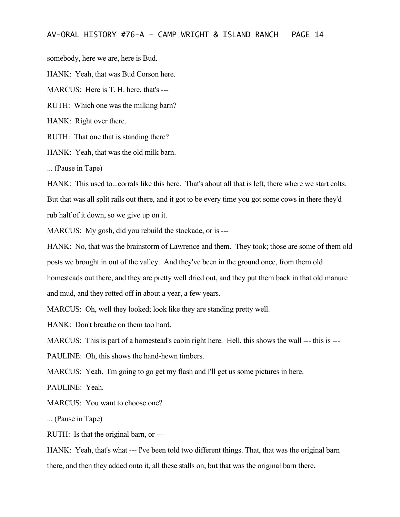somebody, here we are, here is Bud.

HANK: Yeah, that was Bud Corson here.

MARCUS: Here is T. H. here, that's ---

RUTH: Which one was the milking barn?

HANK: Right over there.

RUTH: That one that is standing there?

HANK: Yeah, that was the old milk barn.

... (Pause in Tape)

HANK: This used to...corrals like this here. That's about all that is left, there where we start colts. But that was all split rails out there, and it got to be every time you got some cows in there they'd rub half of it down, so we give up on it.

MARCUS: My gosh, did you rebuild the stockade, or is ---

HANK: No, that was the brainstorm of Lawrence and them. They took; those are some of them old posts we brought in out of the valley. And they've been in the ground once, from them old homesteads out there, and they are pretty well dried out, and they put them back in that old manure and mud, and they rotted off in about a year, a few years.

MARCUS: Oh, well they looked; look like they are standing pretty well.

HANK: Don't breathe on them too hard.

MARCUS: This is part of a homestead's cabin right here. Hell, this shows the wall --- this is ---

PAULINE: Oh, this shows the hand-hewn timbers.

MARCUS: Yeah. I'm going to go get my flash and I'll get us some pictures in here.

PAULINE: Yeah.

MARCUS: You want to choose one?

... (Pause in Tape)

RUTH: Is that the original barn, or ---

HANK: Yeah, that's what --- I've been told two different things. That, that was the original barn there, and then they added onto it, all these stalls on, but that was the original barn there.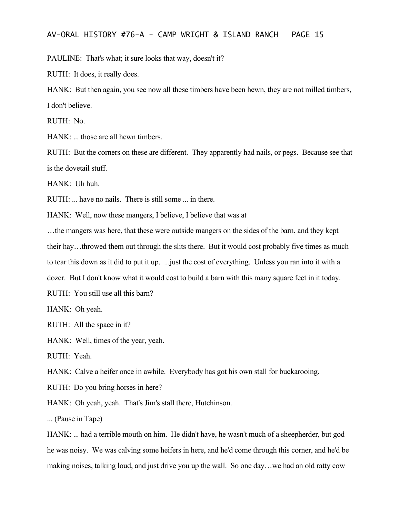PAULINE: That's what; it sure looks that way, doesn't it?

RUTH: It does, it really does.

HANK: But then again, you see now all these timbers have been hewn, they are not milled timbers, I don't believe.

RUTH: No.

HANK: ... those are all hewn timbers.

RUTH: But the corners on these are different. They apparently had nails, or pegs. Because see that is the dovetail stuff.

HANK: Uh huh.

RUTH: ... have no nails. There is still some ... in there.

HANK: Well, now these mangers, I believe, I believe that was at

…the mangers was here, that these were outside mangers on the sides of the barn, and they kept their hay…throwed them out through the slits there. But it would cost probably five times as much to tear this down as it did to put it up. ...just the cost of everything. Unless you ran into it with a dozer. But I don't know what it would cost to build a barn with this many square feet in it today.

RUTH: You still use all this barn?

HANK: Oh yeah.

RUTH: All the space in it?

HANK: Well, times of the year, yeah.

RUTH: Yeah.

HANK: Calve a heifer once in awhile. Everybody has got his own stall for buckarooing.

RUTH: Do you bring horses in here?

HANK: Oh yeah, yeah. That's Jim's stall there, Hutchinson.

... (Pause in Tape)

HANK: ... had a terrible mouth on him. He didn't have, he wasn't much of a sheepherder, but god he was noisy. We was calving some heifers in here, and he'd come through this corner, and he'd be making noises, talking loud, and just drive you up the wall. So one day…we had an old ratty cow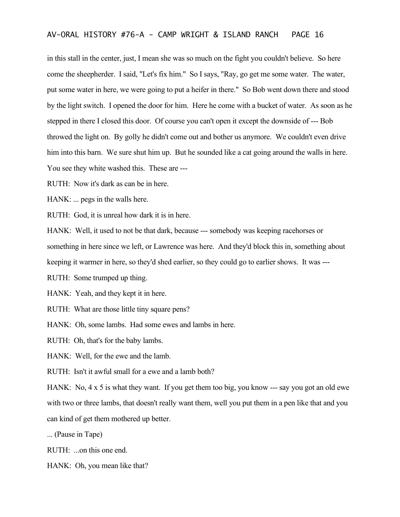in this stall in the center, just, I mean she was so much on the fight you couldn't believe. So here come the sheepherder. I said, "Let's fix him." So I says, "Ray, go get me some water. The water, put some water in here, we were going to put a heifer in there." So Bob went down there and stood by the light switch. I opened the door for him. Here he come with a bucket of water. As soon as he stepped in there I closed this door. Of course you can't open it except the downside of --- Bob throwed the light on. By golly he didn't come out and bother us anymore. We couldn't even drive him into this barn. We sure shut him up. But he sounded like a cat going around the walls in here. You see they white washed this. These are ---

RUTH: Now it's dark as can be in here.

HANK: ... pegs in the walls here.

RUTH: God, it is unreal how dark it is in here.

HANK: Well, it used to not be that dark, because --- somebody was keeping racehorses or something in here since we left, or Lawrence was here. And they'd block this in, something about keeping it warmer in here, so they'd shed earlier, so they could go to earlier shows. It was ---

RUTH: Some trumped up thing.

HANK: Yeah, and they kept it in here.

RUTH: What are those little tiny square pens?

HANK: Oh, some lambs. Had some ewes and lambs in here.

RUTH: Oh, that's for the baby lambs.

HANK: Well, for the ewe and the lamb.

RUTH: Isn't it awful small for a ewe and a lamb both?

HANK: No, 4 x 5 is what they want. If you get them too big, you know --- say you got an old ewe with two or three lambs, that doesn't really want them, well you put them in a pen like that and you can kind of get them mothered up better.

... (Pause in Tape)

RUTH: ...on this one end.

HANK: Oh, you mean like that?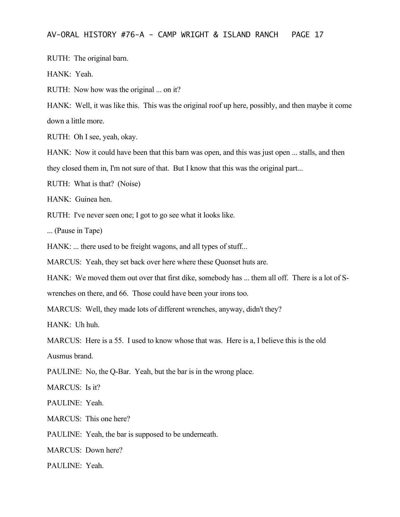RUTH: The original barn.

HANK: Yeah.

RUTH: Now how was the original ... on it?

HANK: Well, it was like this. This was the original roof up here, possibly, and then maybe it come down a little more.

RUTH: Oh I see, yeah, okay.

HANK: Now it could have been that this barn was open, and this was just open ... stalls, and then they closed them in, I'm not sure of that. But I know that this was the original part...

RUTH: What is that? (Noise)

HANK: Guinea hen.

RUTH: I've never seen one; I got to go see what it looks like.

... (Pause in Tape)

HANK: ... there used to be freight wagons, and all types of stuff...

MARCUS: Yeah, they set back over here where these Quonset huts are.

HANK: We moved them out over that first dike, somebody has ... them all off. There is a lot of S-

wrenches on there, and 66. Those could have been your irons too.

MARCUS: Well, they made lots of different wrenches, anyway, didn't they?

HANK: Uh huh.

MARCUS: Here is a 55. I used to know whose that was. Here is a, I believe this is the old Ausmus brand.

PAULINE: No, the Q-Bar. Yeah, but the bar is in the wrong place.

MARCUS: Is it?

PAULINE: Yeah.

MARCUS: This one here?

PAULINE: Yeah, the bar is supposed to be underneath.

MARCUS: Down here?

PAULINE: Yeah.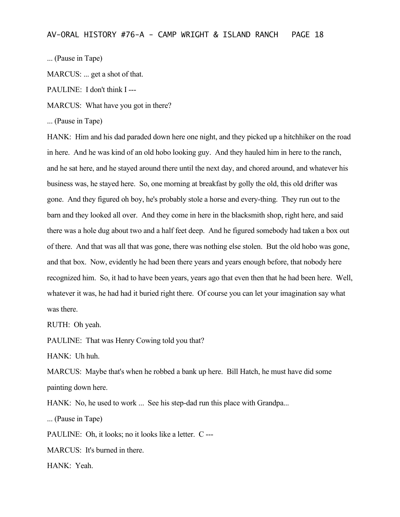... (Pause in Tape)

MARCUS: ... get a shot of that.

PAULINE: I don't think I ---

MARCUS: What have you got in there?

... (Pause in Tape)

HANK: Him and his dad paraded down here one night, and they picked up a hitchhiker on the road in here. And he was kind of an old hobo looking guy. And they hauled him in here to the ranch, and he sat here, and he stayed around there until the next day, and chored around, and whatever his business was, he stayed here. So, one morning at breakfast by golly the old, this old drifter was gone. And they figured oh boy, he's probably stole a horse and every-thing. They run out to the barn and they looked all over. And they come in here in the blacksmith shop, right here, and said there was a hole dug about two and a half feet deep. And he figured somebody had taken a box out of there. And that was all that was gone, there was nothing else stolen. But the old hobo was gone, and that box. Now, evidently he had been there years and years enough before, that nobody here recognized him. So, it had to have been years, years ago that even then that he had been here. Well, whatever it was, he had had it buried right there. Of course you can let your imagination say what was there.

RUTH: Oh yeah.

PAULINE: That was Henry Cowing told you that?

HANK: Uh huh.

MARCUS: Maybe that's when he robbed a bank up here. Bill Hatch, he must have did some painting down here.

HANK: No, he used to work ... See his step-dad run this place with Grandpa...

... (Pause in Tape)

PAULINE: Oh, it looks; no it looks like a letter. C ---

MARCUS: It's burned in there.

HANK: Yeah.